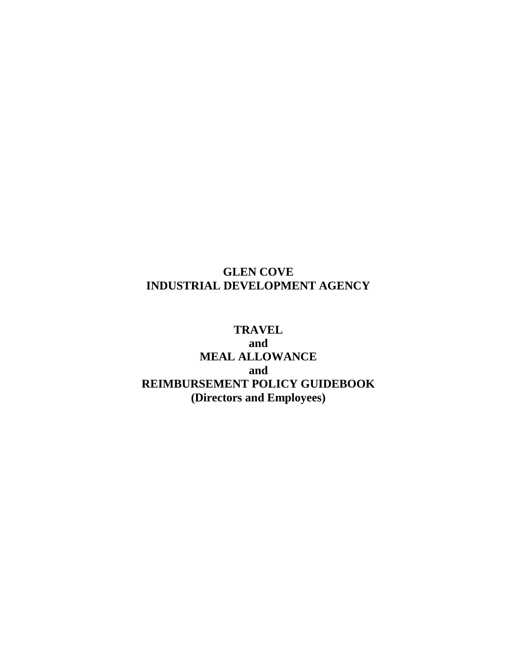# **GLEN COVE INDUSTRIAL DEVELOPMENT AGENCY**

**TRAVEL and MEAL ALLOWANCE and REIMBURSEMENT POLICY GUIDEBOOK (Directors and Employees)**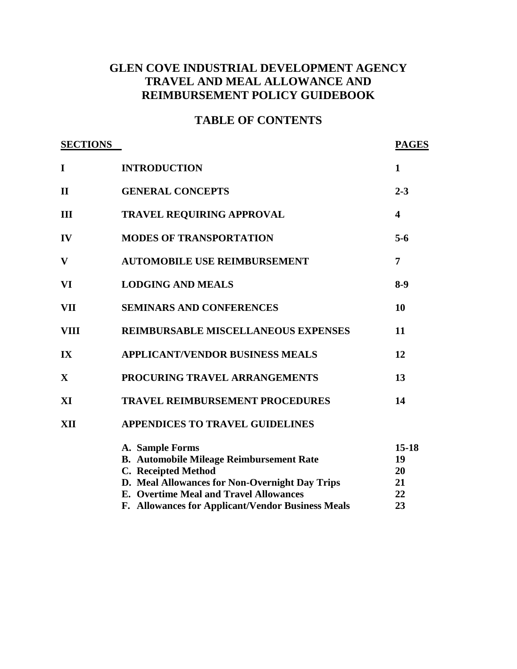# **GLEN COVE INDUSTRIAL DEVELOPMENT AGENCY TRAVEL AND MEAL ALLOWANCE AND REIMBURSEMENT POLICY GUIDEBOOK**

# **TABLE OF CONTENTS**

| <b>SECTIONS</b> |                                                                                                                                                                                                                                            | <b>PAGES</b>                            |
|-----------------|--------------------------------------------------------------------------------------------------------------------------------------------------------------------------------------------------------------------------------------------|-----------------------------------------|
| $\bf{I}$        | <b>INTRODUCTION</b>                                                                                                                                                                                                                        | 1                                       |
| $\mathbf{I}$    | <b>GENERAL CONCEPTS</b>                                                                                                                                                                                                                    | $2 - 3$                                 |
| III             | TRAVEL REQUIRING APPROVAL                                                                                                                                                                                                                  | $\overline{\mathbf{4}}$                 |
| IV              | <b>MODES OF TRANSPORTATION</b>                                                                                                                                                                                                             | $5 - 6$                                 |
| V               | <b>AUTOMOBILE USE REIMBURSEMENT</b>                                                                                                                                                                                                        | $\overline{7}$                          |
| VI              | <b>LODGING AND MEALS</b>                                                                                                                                                                                                                   | $8-9$                                   |
| VII             | <b>SEMINARS AND CONFERENCES</b>                                                                                                                                                                                                            | 10                                      |
| <b>VIII</b>     | <b>REIMBURSABLE MISCELLANEOUS EXPENSES</b>                                                                                                                                                                                                 | 11                                      |
| IX              | <b>APPLICANT/VENDOR BUSINESS MEALS</b>                                                                                                                                                                                                     | 12                                      |
| $\mathbf{X}$    | PROCURING TRAVEL ARRANGEMENTS                                                                                                                                                                                                              | 13                                      |
| XI              | <b>TRAVEL REIMBURSEMENT PROCEDURES</b>                                                                                                                                                                                                     | 14                                      |
| XII             | <b>APPENDICES TO TRAVEL GUIDELINES</b>                                                                                                                                                                                                     |                                         |
|                 | A. Sample Forms<br><b>B.</b> Automobile Mileage Reimbursement Rate<br>C. Receipted Method<br>D. Meal Allowances for Non-Overnight Day Trips<br>E. Overtime Meal and Travel Allowances<br>F. Allowances for Applicant/Vendor Business Meals | $15 - 18$<br>19<br>20<br>21<br>22<br>23 |
|                 |                                                                                                                                                                                                                                            |                                         |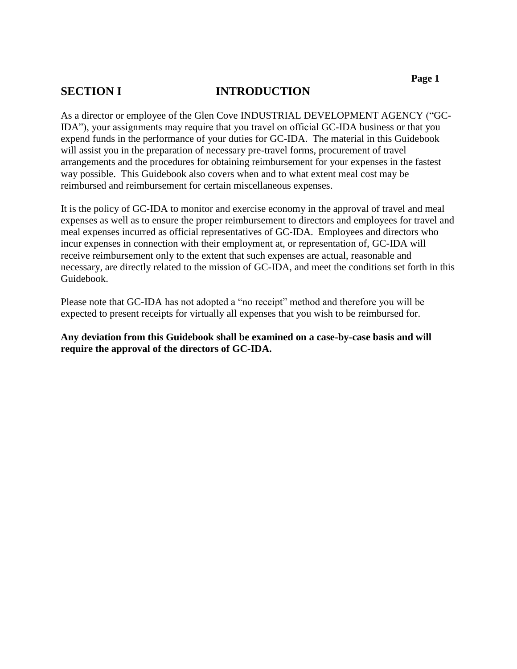# **SECTION I INTRODUCTION**

As a director or employee of the Glen Cove INDUSTRIAL DEVELOPMENT AGENCY ("GC-IDA"), your assignments may require that you travel on official GC-IDA business or that you expend funds in the performance of your duties for GC-IDA. The material in this Guidebook will assist you in the preparation of necessary pre-travel forms, procurement of travel arrangements and the procedures for obtaining reimbursement for your expenses in the fastest way possible. This Guidebook also covers when and to what extent meal cost may be reimbursed and reimbursement for certain miscellaneous expenses.

It is the policy of GC-IDA to monitor and exercise economy in the approval of travel and meal expenses as well as to ensure the proper reimbursement to directors and employees for travel and meal expenses incurred as official representatives of GC-IDA. Employees and directors who incur expenses in connection with their employment at, or representation of, GC-IDA will receive reimbursement only to the extent that such expenses are actual, reasonable and necessary, are directly related to the mission of GC-IDA, and meet the conditions set forth in this Guidebook.

Please note that GC-IDA has not adopted a "no receipt" method and therefore you will be expected to present receipts for virtually all expenses that you wish to be reimbursed for.

**Any deviation from this Guidebook shall be examined on a case-by-case basis and will require the approval of the directors of GC-IDA.**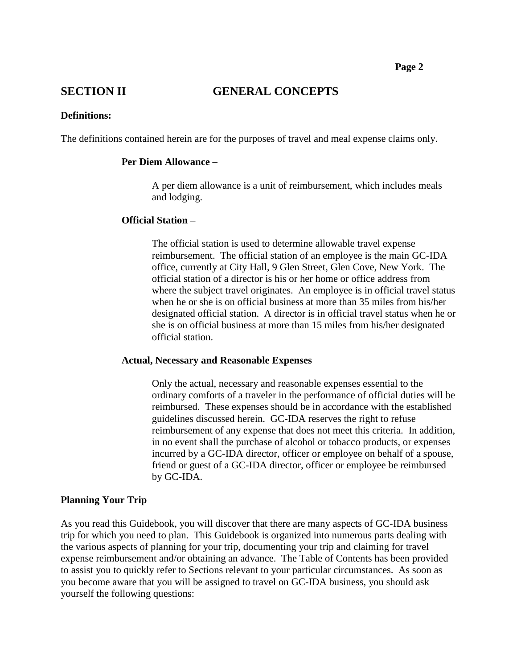#### **SECTION II GENERAL CONCEPTS**

#### **Definitions:**

The definitions contained herein are for the purposes of travel and meal expense claims only.

#### **Per Diem Allowance –**

A per diem allowance is a unit of reimbursement, which includes meals and lodging.

#### **Official Station –**

The official station is used to determine allowable travel expense reimbursement. The official station of an employee is the main GC-IDA office, currently at City Hall, 9 Glen Street, Glen Cove, New York. The official station of a director is his or her home or office address from where the subject travel originates. An employee is in official travel status when he or she is on official business at more than 35 miles from his/her designated official station. A director is in official travel status when he or she is on official business at more than 15 miles from his/her designated official station.

#### **Actual, Necessary and Reasonable Expenses** –

Only the actual, necessary and reasonable expenses essential to the ordinary comforts of a traveler in the performance of official duties will be reimbursed. These expenses should be in accordance with the established guidelines discussed herein. GC-IDA reserves the right to refuse reimbursement of any expense that does not meet this criteria. In addition, in no event shall the purchase of alcohol or tobacco products, or expenses incurred by a GC-IDA director, officer or employee on behalf of a spouse, friend or guest of a GC-IDA director, officer or employee be reimbursed by GC-IDA.

#### **Planning Your Trip**

As you read this Guidebook, you will discover that there are many aspects of GC-IDA business trip for which you need to plan. This Guidebook is organized into numerous parts dealing with the various aspects of planning for your trip, documenting your trip and claiming for travel expense reimbursement and/or obtaining an advance. The Table of Contents has been provided to assist you to quickly refer to Sections relevant to your particular circumstances. As soon as you become aware that you will be assigned to travel on GC-IDA business, you should ask yourself the following questions: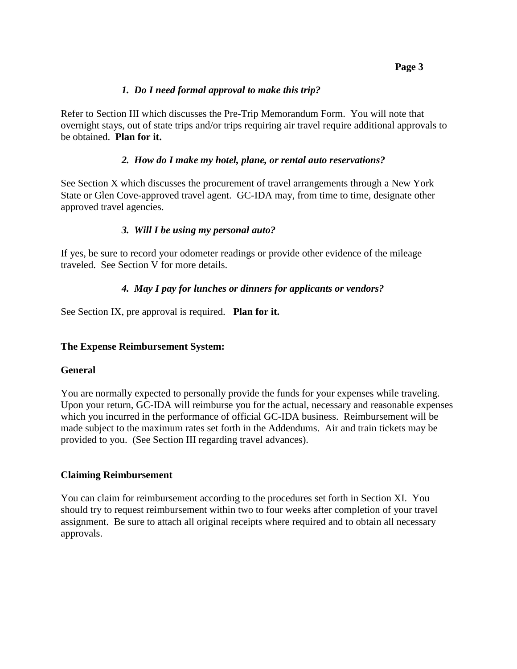### *1. Do I need formal approval to make this trip?*

Refer to Section III which discusses the Pre-Trip Memorandum Form. You will note that overnight stays, out of state trips and/or trips requiring air travel require additional approvals to be obtained. **Plan for it.**

### *2. How do I make my hotel, plane, or rental auto reservations?*

See Section X which discusses the procurement of travel arrangements through a New York State or Glen Cove-approved travel agent. GC-IDA may, from time to time, designate other approved travel agencies.

#### *3. Will I be using my personal auto?*

If yes, be sure to record your odometer readings or provide other evidence of the mileage traveled. See Section V for more details.

## *4. May I pay for lunches or dinners for applicants or vendors?*

See Section IX, pre approval is required. **Plan for it.**

## **The Expense Reimbursement System:**

#### **General**

You are normally expected to personally provide the funds for your expenses while traveling. Upon your return, GC-IDA will reimburse you for the actual, necessary and reasonable expenses which you incurred in the performance of official GC-IDA business. Reimbursement will be made subject to the maximum rates set forth in the Addendums. Air and train tickets may be provided to you. (See Section III regarding travel advances).

#### **Claiming Reimbursement**

You can claim for reimbursement according to the procedures set forth in Section XI. You should try to request reimbursement within two to four weeks after completion of your travel assignment. Be sure to attach all original receipts where required and to obtain all necessary approvals.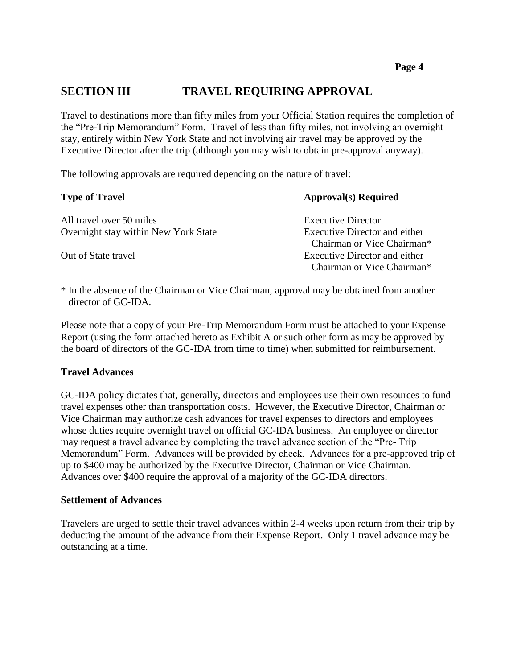# **SECTION III TRAVEL REQUIRING APPROVAL**

Travel to destinations more than fifty miles from your Official Station requires the completion of the "Pre-Trip Memorandum" Form. Travel of less than fifty miles, not involving an overnight stay, entirely within New York State and not involving air travel may be approved by the Executive Director after the trip (although you may wish to obtain pre-approval anyway).

The following approvals are required depending on the nature of travel:

| <b>Type of Travel</b>                | <b>Approval(s)</b> Required                                             |
|--------------------------------------|-------------------------------------------------------------------------|
| All travel over 50 miles             | <b>Executive Director</b>                                               |
| Overnight stay within New York State | Executive Director and either<br>Chairman or Vice Chairman <sup>*</sup> |
| Out of State travel                  | Executive Director and either<br>Chairman or Vice Chairman <sup>*</sup> |

\* In the absence of the Chairman or Vice Chairman, approval may be obtained from another director of GC-IDA.

Please note that a copy of your Pre-Trip Memorandum Form must be attached to your Expense Report (using the form attached hereto as  $\frac{Exhibit A}{A}$  or such other form as may be approved by the board of directors of the GC-IDA from time to time) when submitted for reimbursement.

#### **Travel Advances**

GC-IDA policy dictates that, generally, directors and employees use their own resources to fund travel expenses other than transportation costs. However, the Executive Director, Chairman or Vice Chairman may authorize cash advances for travel expenses to directors and employees whose duties require overnight travel on official GC-IDA business. An employee or director may request a travel advance by completing the travel advance section of the "Pre- Trip Memorandum" Form. Advances will be provided by check. Advances for a pre-approved trip of up to \$400 may be authorized by the Executive Director, Chairman or Vice Chairman. Advances over \$400 require the approval of a majority of the GC-IDA directors.

#### **Settlement of Advances**

Travelers are urged to settle their travel advances within 2-4 weeks upon return from their trip by deducting the amount of the advance from their Expense Report. Only 1 travel advance may be outstanding at a time.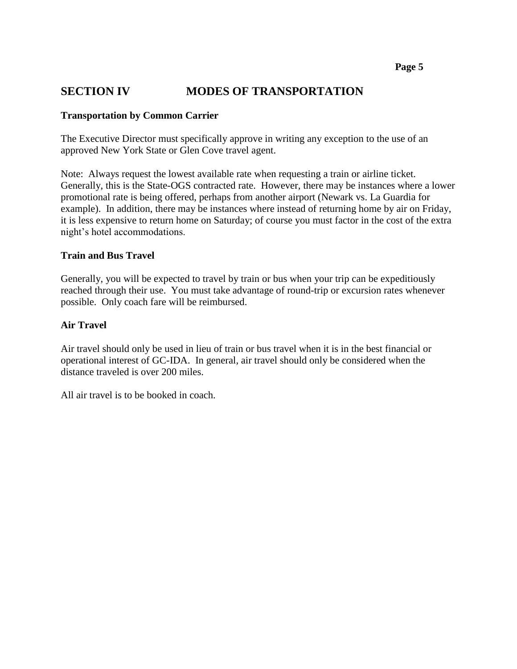# **SECTION IV MODES OF TRANSPORTATION**

#### **Transportation by Common Carrier**

The Executive Director must specifically approve in writing any exception to the use of an approved New York State or Glen Cove travel agent.

Note: Always request the lowest available rate when requesting a train or airline ticket. Generally, this is the State-OGS contracted rate. However, there may be instances where a lower promotional rate is being offered, perhaps from another airport (Newark vs. La Guardia for example). In addition, there may be instances where instead of returning home by air on Friday, it is less expensive to return home on Saturday; of course you must factor in the cost of the extra night's hotel accommodations.

#### **Train and Bus Travel**

Generally, you will be expected to travel by train or bus when your trip can be expeditiously reached through their use. You must take advantage of round-trip or excursion rates whenever possible. Only coach fare will be reimbursed.

## **Air Travel**

Air travel should only be used in lieu of train or bus travel when it is in the best financial or operational interest of GC-IDA. In general, air travel should only be considered when the distance traveled is over 200 miles.

All air travel is to be booked in coach.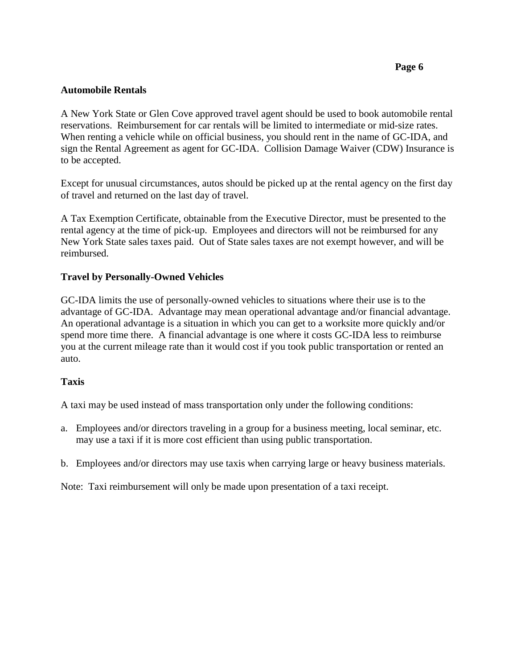#### **Automobile Rentals**

A New York State or Glen Cove approved travel agent should be used to book automobile rental reservations. Reimbursement for car rentals will be limited to intermediate or mid-size rates. When renting a vehicle while on official business, you should rent in the name of GC-IDA, and sign the Rental Agreement as agent for GC-IDA. Collision Damage Waiver (CDW) Insurance is to be accepted.

Except for unusual circumstances, autos should be picked up at the rental agency on the first day of travel and returned on the last day of travel.

A Tax Exemption Certificate, obtainable from the Executive Director, must be presented to the rental agency at the time of pick-up. Employees and directors will not be reimbursed for any New York State sales taxes paid. Out of State sales taxes are not exempt however, and will be reimbursed.

#### **Travel by Personally-Owned Vehicles**

GC-IDA limits the use of personally-owned vehicles to situations where their use is to the advantage of GC-IDA. Advantage may mean operational advantage and/or financial advantage. An operational advantage is a situation in which you can get to a worksite more quickly and/or spend more time there. A financial advantage is one where it costs GC-IDA less to reimburse you at the current mileage rate than it would cost if you took public transportation or rented an auto.

#### **Taxis**

A taxi may be used instead of mass transportation only under the following conditions:

- a. Employees and/or directors traveling in a group for a business meeting, local seminar, etc. may use a taxi if it is more cost efficient than using public transportation.
- b. Employees and/or directors may use taxis when carrying large or heavy business materials.

Note: Taxi reimbursement will only be made upon presentation of a taxi receipt.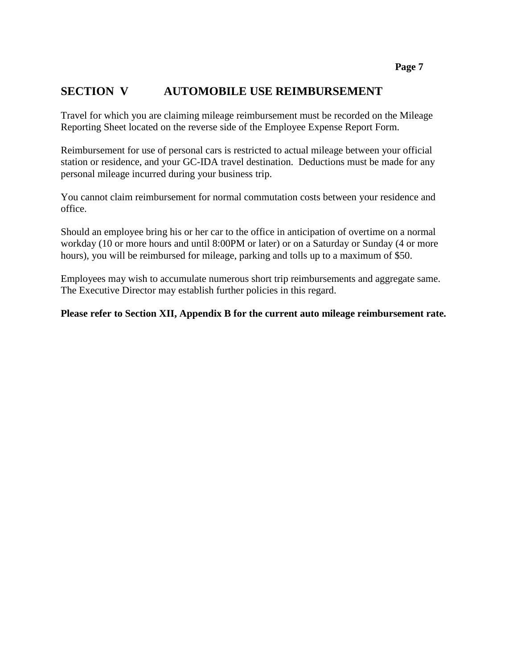#### **Page 7**

# **SECTION V AUTOMOBILE USE REIMBURSEMENT**

Travel for which you are claiming mileage reimbursement must be recorded on the Mileage Reporting Sheet located on the reverse side of the Employee Expense Report Form.

Reimbursement for use of personal cars is restricted to actual mileage between your official station or residence, and your GC-IDA travel destination. Deductions must be made for any personal mileage incurred during your business trip.

You cannot claim reimbursement for normal commutation costs between your residence and office.

Should an employee bring his or her car to the office in anticipation of overtime on a normal workday (10 or more hours and until 8:00PM or later) or on a Saturday or Sunday (4 or more hours), you will be reimbursed for mileage, parking and tolls up to a maximum of \$50.

Employees may wish to accumulate numerous short trip reimbursements and aggregate same. The Executive Director may establish further policies in this regard.

#### **Please refer to Section XII, Appendix B for the current auto mileage reimbursement rate.**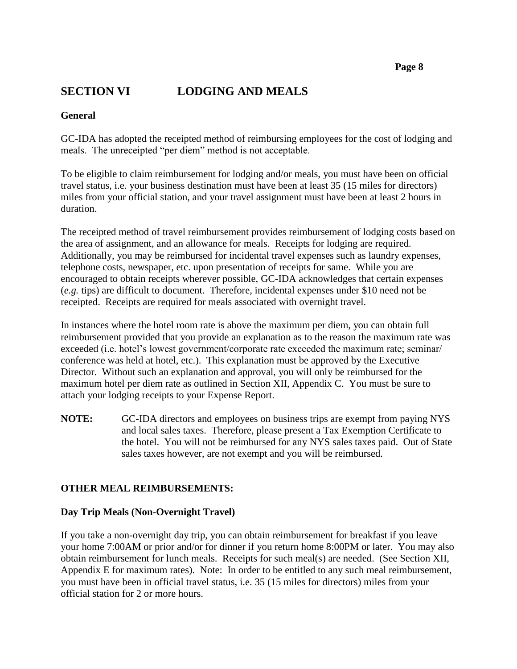# **SECTION VI LODGING AND MEALS**

#### **General**

GC-IDA has adopted the receipted method of reimbursing employees for the cost of lodging and meals. The unreceipted "per diem" method is not acceptable.

To be eligible to claim reimbursement for lodging and/or meals, you must have been on official travel status, i.e. your business destination must have been at least 35 (15 miles for directors) miles from your official station, and your travel assignment must have been at least 2 hours in duration.

The receipted method of travel reimbursement provides reimbursement of lodging costs based on the area of assignment, and an allowance for meals. Receipts for lodging are required. Additionally, you may be reimbursed for incidental travel expenses such as laundry expenses, telephone costs, newspaper, etc. upon presentation of receipts for same. While you are encouraged to obtain receipts wherever possible, GC-IDA acknowledges that certain expenses (*e.g.* tips) are difficult to document. Therefore, incidental expenses under \$10 need not be receipted. Receipts are required for meals associated with overnight travel.

In instances where the hotel room rate is above the maximum per diem, you can obtain full reimbursement provided that you provide an explanation as to the reason the maximum rate was exceeded (i.e. hotel's lowest government/corporate rate exceeded the maximum rate; seminar/ conference was held at hotel, etc.). This explanation must be approved by the Executive Director. Without such an explanation and approval, you will only be reimbursed for the maximum hotel per diem rate as outlined in Section XII, Appendix C. You must be sure to attach your lodging receipts to your Expense Report.

**NOTE:** GC-IDA directors and employees on business trips are exempt from paying NYS and local sales taxes. Therefore, please present a Tax Exemption Certificate to the hotel. You will not be reimbursed for any NYS sales taxes paid. Out of State sales taxes however, are not exempt and you will be reimbursed.

#### **OTHER MEAL REIMBURSEMENTS:**

#### **Day Trip Meals (Non-Overnight Travel)**

If you take a non-overnight day trip, you can obtain reimbursement for breakfast if you leave your home 7:00AM or prior and/or for dinner if you return home 8:00PM or later. You may also obtain reimbursement for lunch meals. Receipts for such meal(s) are needed. (See Section XII, Appendix E for maximum rates). Note: In order to be entitled to any such meal reimbursement, you must have been in official travel status, i.e. 35 (15 miles for directors) miles from your official station for 2 or more hours.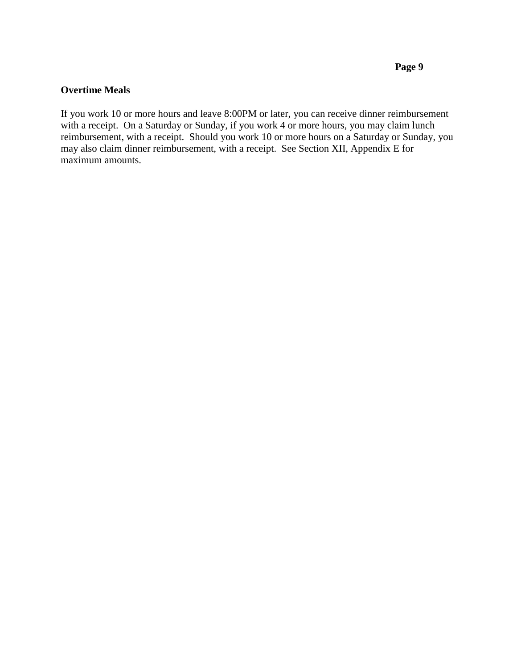#### **Overtime Meals**

If you work 10 or more hours and leave 8:00PM or later, you can receive dinner reimbursement with a receipt. On a Saturday or Sunday, if you work 4 or more hours, you may claim lunch reimbursement, with a receipt. Should you work 10 or more hours on a Saturday or Sunday, you may also claim dinner reimbursement, with a receipt. See Section XII, Appendix E for maximum amounts.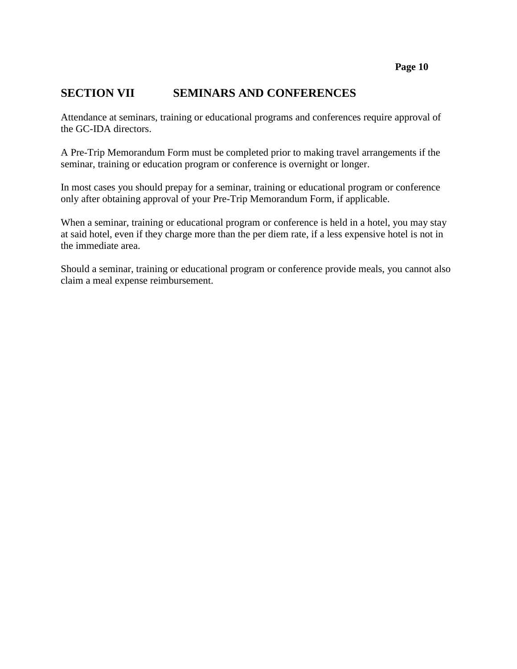# **SECTION VII SEMINARS AND CONFERENCES**

Attendance at seminars, training or educational programs and conferences require approval of the GC-IDA directors.

A Pre-Trip Memorandum Form must be completed prior to making travel arrangements if the seminar, training or education program or conference is overnight or longer.

In most cases you should prepay for a seminar, training or educational program or conference only after obtaining approval of your Pre-Trip Memorandum Form, if applicable.

When a seminar, training or educational program or conference is held in a hotel, you may stay at said hotel, even if they charge more than the per diem rate, if a less expensive hotel is not in the immediate area.

Should a seminar, training or educational program or conference provide meals, you cannot also claim a meal expense reimbursement.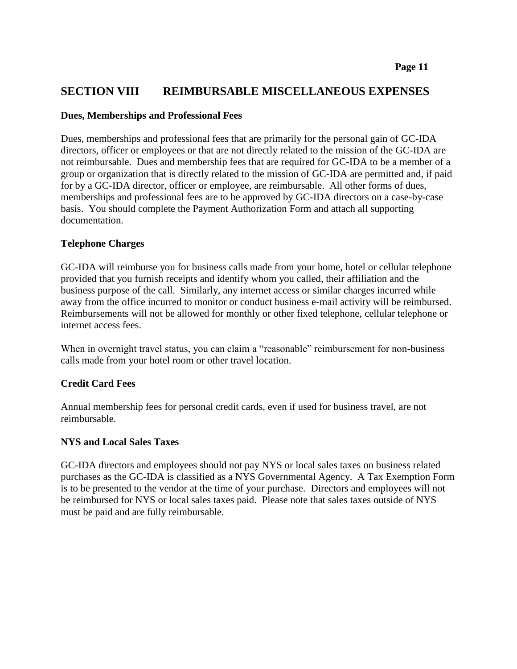# **SECTION VIII REIMBURSABLE MISCELLANEOUS EXPENSES**

#### **Dues, Memberships and Professional Fees**

Dues, memberships and professional fees that are primarily for the personal gain of GC-IDA directors, officer or employees or that are not directly related to the mission of the GC-IDA are not reimbursable. Dues and membership fees that are required for GC-IDA to be a member of a group or organization that is directly related to the mission of GC-IDA are permitted and, if paid for by a GC-IDA director, officer or employee, are reimbursable. All other forms of dues, memberships and professional fees are to be approved by GC-IDA directors on a case-by-case basis. You should complete the Payment Authorization Form and attach all supporting documentation.

#### **Telephone Charges**

GC-IDA will reimburse you for business calls made from your home, hotel or cellular telephone provided that you furnish receipts and identify whom you called, their affiliation and the business purpose of the call. Similarly, any internet access or similar charges incurred while away from the office incurred to monitor or conduct business e-mail activity will be reimbursed. Reimbursements will not be allowed for monthly or other fixed telephone, cellular telephone or internet access fees.

When in overnight travel status, you can claim a "reasonable" reimbursement for non-business calls made from your hotel room or other travel location.

## **Credit Card Fees**

Annual membership fees for personal credit cards, even if used for business travel, are not reimbursable.

#### **NYS and Local Sales Taxes**

GC-IDA directors and employees should not pay NYS or local sales taxes on business related purchases as the GC-IDA is classified as a NYS Governmental Agency. A Tax Exemption Form is to be presented to the vendor at the time of your purchase. Directors and employees will not be reimbursed for NYS or local sales taxes paid. Please note that sales taxes outside of NYS must be paid and are fully reimbursable.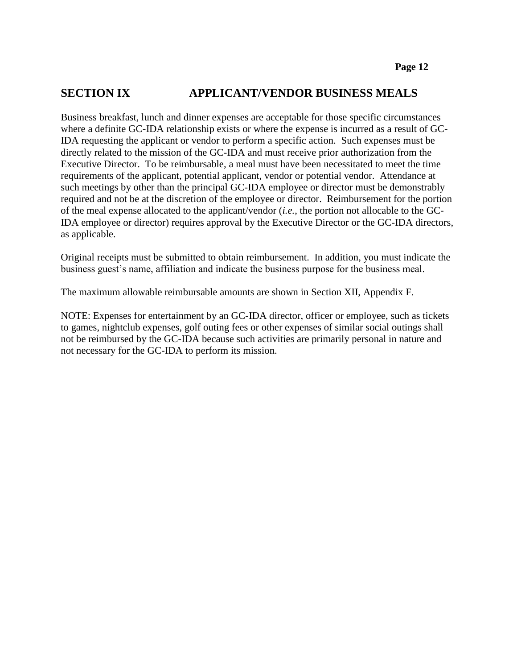# **SECTION IX APPLICANT/VENDOR BUSINESS MEALS**

Business breakfast, lunch and dinner expenses are acceptable for those specific circumstances where a definite GC-IDA relationship exists or where the expense is incurred as a result of GC-IDA requesting the applicant or vendor to perform a specific action. Such expenses must be directly related to the mission of the GC-IDA and must receive prior authorization from the Executive Director. To be reimbursable, a meal must have been necessitated to meet the time requirements of the applicant, potential applicant, vendor or potential vendor. Attendance at such meetings by other than the principal GC-IDA employee or director must be demonstrably required and not be at the discretion of the employee or director. Reimbursement for the portion of the meal expense allocated to the applicant/vendor (*i.e.*, the portion not allocable to the GC-IDA employee or director) requires approval by the Executive Director or the GC-IDA directors, as applicable.

Original receipts must be submitted to obtain reimbursement. In addition, you must indicate the business guest's name, affiliation and indicate the business purpose for the business meal.

The maximum allowable reimbursable amounts are shown in Section XII, Appendix F.

NOTE: Expenses for entertainment by an GC-IDA director, officer or employee, such as tickets to games, nightclub expenses, golf outing fees or other expenses of similar social outings shall not be reimbursed by the GC-IDA because such activities are primarily personal in nature and not necessary for the GC-IDA to perform its mission.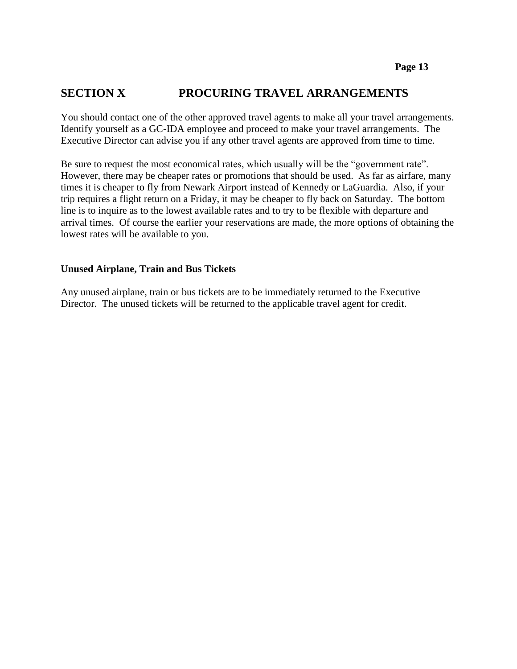# **SECTION X PROCURING TRAVEL ARRANGEMENTS**

You should contact one of the other approved travel agents to make all your travel arrangements. Identify yourself as a GC-IDA employee and proceed to make your travel arrangements. The Executive Director can advise you if any other travel agents are approved from time to time.

Be sure to request the most economical rates, which usually will be the "government rate". However, there may be cheaper rates or promotions that should be used. As far as airfare, many times it is cheaper to fly from Newark Airport instead of Kennedy or LaGuardia. Also, if your trip requires a flight return on a Friday, it may be cheaper to fly back on Saturday. The bottom line is to inquire as to the lowest available rates and to try to be flexible with departure and arrival times. Of course the earlier your reservations are made, the more options of obtaining the lowest rates will be available to you.

#### **Unused Airplane, Train and Bus Tickets**

Any unused airplane, train or bus tickets are to be immediately returned to the Executive Director. The unused tickets will be returned to the applicable travel agent for credit.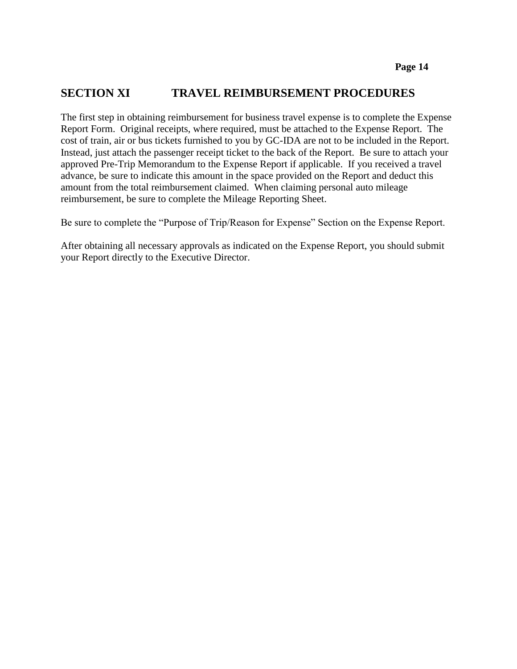## **SECTION XI TRAVEL REIMBURSEMENT PROCEDURES**

The first step in obtaining reimbursement for business travel expense is to complete the Expense Report Form. Original receipts, where required, must be attached to the Expense Report. The cost of train, air or bus tickets furnished to you by GC-IDA are not to be included in the Report. Instead, just attach the passenger receipt ticket to the back of the Report. Be sure to attach your approved Pre-Trip Memorandum to the Expense Report if applicable. If you received a travel advance, be sure to indicate this amount in the space provided on the Report and deduct this amount from the total reimbursement claimed. When claiming personal auto mileage reimbursement, be sure to complete the Mileage Reporting Sheet.

Be sure to complete the "Purpose of Trip/Reason for Expense" Section on the Expense Report.

After obtaining all necessary approvals as indicated on the Expense Report, you should submit your Report directly to the Executive Director.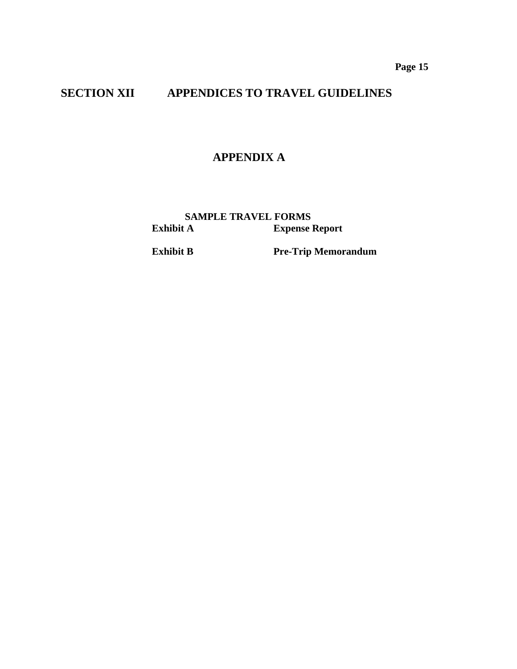**Page 15**

# **SECTION XII APPENDICES TO TRAVEL GUIDELINES**

# **APPENDIX A**

**SAMPLE TRAVEL FORMS**<br>**Exhibit A Expense I Expense Report** 

**Exhibit B Pre-Trip Memorandum**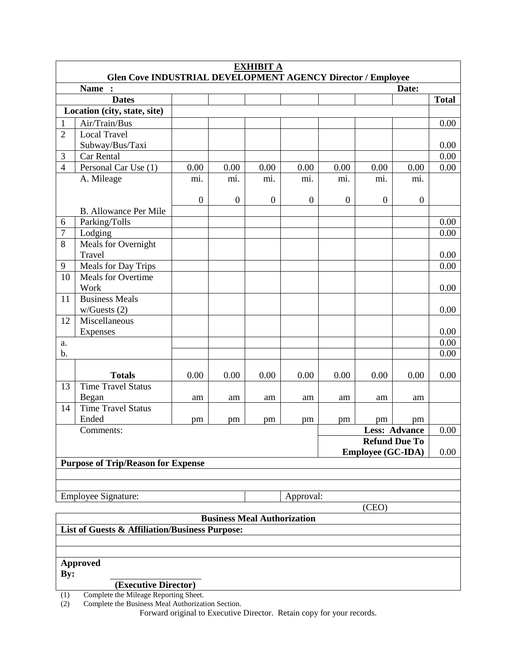| <b>EXHIBIT A</b><br><b>Glen Cove INDUSTRIAL DEVELOPMENT AGENCY Director / Employee</b> |                                                  |                  |                  |                  |                |                |                  |                      |              |
|----------------------------------------------------------------------------------------|--------------------------------------------------|------------------|------------------|------------------|----------------|----------------|------------------|----------------------|--------------|
|                                                                                        | Name :<br>Date:                                  |                  |                  |                  |                |                |                  |                      |              |
|                                                                                        | <b>Dates</b>                                     |                  |                  |                  |                |                |                  |                      | <b>Total</b> |
|                                                                                        | Location (city, state, site)                     |                  |                  |                  |                |                |                  |                      |              |
| $\mathbf{1}$                                                                           | Air/Train/Bus                                    |                  |                  |                  |                |                |                  |                      | 0.00         |
| $\overline{2}$                                                                         | <b>Local Travel</b>                              |                  |                  |                  |                |                |                  |                      |              |
|                                                                                        | Subway/Bus/Taxi                                  |                  |                  |                  |                |                |                  |                      | 0.00         |
| 3                                                                                      | Car Rental                                       |                  |                  |                  |                |                |                  |                      | 0.00         |
| $\overline{4}$                                                                         | Personal Car Use (1)                             | 0.00             | 0.00             | 0.00             | 0.00           | 0.00           | 0.00             | 0.00                 | 0.00         |
|                                                                                        | A. Mileage                                       | mi.              | mi.              | mi.              | mi.            | mi.            | mi.              | mi.                  |              |
|                                                                                        |                                                  | $\boldsymbol{0}$ | $\boldsymbol{0}$ | $\boldsymbol{0}$ | $\overline{0}$ | $\overline{0}$ | $\boldsymbol{0}$ | $\mathbf{0}$         |              |
|                                                                                        | <b>B.</b> Allowance Per Mile                     |                  |                  |                  |                |                |                  |                      |              |
| 6                                                                                      | Parking/Tolls                                    |                  |                  |                  |                |                |                  |                      | 0.00         |
| $\tau$                                                                                 | Lodging                                          |                  |                  |                  |                |                |                  |                      | 0.00         |
| 8                                                                                      | Meals for Overnight<br>Travel                    |                  |                  |                  |                |                |                  |                      | 0.00         |
| 9                                                                                      | Meals for Day Trips                              |                  |                  |                  |                |                |                  |                      | 0.00         |
| 10                                                                                     | Meals for Overtime<br>Work                       |                  |                  |                  |                |                |                  |                      | 0.00         |
| 11                                                                                     | <b>Business Meals</b><br>$w/G$ uests $(2)$       |                  |                  |                  |                |                |                  |                      | 0.00         |
| 12                                                                                     | Miscellaneous                                    |                  |                  |                  |                |                |                  |                      |              |
|                                                                                        | Expenses                                         |                  |                  |                  |                |                |                  |                      | 0.00         |
| a.                                                                                     |                                                  |                  |                  |                  |                |                |                  |                      | 0.00         |
| b.                                                                                     |                                                  |                  |                  |                  |                |                |                  |                      | 0.00         |
|                                                                                        |                                                  |                  |                  |                  |                |                |                  |                      |              |
|                                                                                        | <b>Totals</b>                                    | 0.00             | 0.00             | 0.00             | 0.00           | 0.00           | 0.00             | 0.00                 | 0.00         |
| 13                                                                                     | <b>Time Travel Status</b>                        |                  |                  |                  |                |                |                  |                      |              |
|                                                                                        | Began                                            | am               | am               | am               | am             | am             | am               | am                   |              |
| 14                                                                                     | <b>Time Travel Status</b>                        |                  |                  |                  |                |                |                  |                      |              |
|                                                                                        | Ended                                            | pm               | pm               | pm               | pm             | pm             | pm               | pm                   |              |
|                                                                                        | Comments:                                        |                  |                  |                  |                |                |                  | <b>Less: Advance</b> | 0.00         |
|                                                                                        | <b>Refund Due To</b><br><b>Employee (GC-IDA)</b> |                  |                  |                  |                |                |                  |                      | 0.00         |
|                                                                                        | <b>Purpose of Trip/Reason for Expense</b>        |                  |                  |                  |                |                |                  |                      |              |
|                                                                                        |                                                  |                  |                  |                  |                |                |                  |                      |              |
|                                                                                        |                                                  |                  |                  |                  |                |                |                  |                      |              |
|                                                                                        | <b>Employee Signature:</b><br>Approval:          |                  |                  |                  |                |                |                  |                      |              |
|                                                                                        | (CEO)                                            |                  |                  |                  |                |                |                  |                      |              |
| <b>Business Meal Authorization</b>                                                     |                                                  |                  |                  |                  |                |                |                  |                      |              |
| List of Guests & Affiliation/Business Purpose:                                         |                                                  |                  |                  |                  |                |                |                  |                      |              |
|                                                                                        |                                                  |                  |                  |                  |                |                |                  |                      |              |
|                                                                                        |                                                  |                  |                  |                  |                |                |                  |                      |              |
|                                                                                        | <b>Approved</b>                                  |                  |                  |                  |                |                |                  |                      |              |
| By:                                                                                    |                                                  |                  |                  |                  |                |                |                  |                      |              |
|                                                                                        | (Executive Director)                             |                  |                  |                  |                |                |                  |                      |              |

(1) Complete the Mileage Reporting Sheet.

(2) Complete the Business Meal Authorization Section.

Forward original to Executive Director. Retain copy for your records.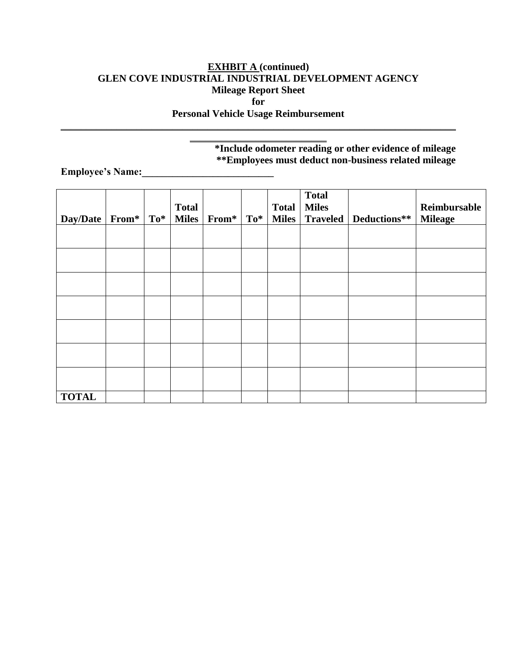## **EXHBIT A (continued) GLEN COVE INDUSTRIAL INDUSTRIAL DEVELOPMENT AGENCY Mileage Report Sheet for Personal Vehicle Usage Reimbursement**

\_\_\_\_\_\_\_\_\_\_\_\_\_\_\_\_\_\_\_\_\_\_\_\_\_\_\_\_\_\_\_\_\_\_\_\_\_\_\_\_\_\_\_\_\_\_\_\_\_\_\_\_\_\_\_\_\_\_\_\_\_\_\_\_\_\_\_\_\_\_\_\_\_\_\_\_\_\_ \_\_\_\_\_\_\_\_\_\_\_\_\_\_\_\_\_\_\_\_\_\_\_\_\_\_\_

**\*Include odometer reading or other evidence of mileage \*\*Employees must deduct non-business related mileage**

**Employee's Name:\_\_\_\_\_\_\_\_\_\_\_\_\_\_\_\_\_\_\_\_\_\_\_\_\_\_**

| Day/Date     | From* $\mid$ To* $\mid$ | <b>Total</b><br><b>Miles</b> | From* | $To^*$ | <b>Total</b><br><b>Miles</b> | <b>Total</b><br><b>Miles</b> | Traveled   Deductions** | Reimbursable<br><b>Mileage</b> |
|--------------|-------------------------|------------------------------|-------|--------|------------------------------|------------------------------|-------------------------|--------------------------------|
|              |                         |                              |       |        |                              |                              |                         |                                |
|              |                         |                              |       |        |                              |                              |                         |                                |
|              |                         |                              |       |        |                              |                              |                         |                                |
|              |                         |                              |       |        |                              |                              |                         |                                |
|              |                         |                              |       |        |                              |                              |                         |                                |
|              |                         |                              |       |        |                              |                              |                         |                                |
|              |                         |                              |       |        |                              |                              |                         |                                |
| <b>TOTAL</b> |                         |                              |       |        |                              |                              |                         |                                |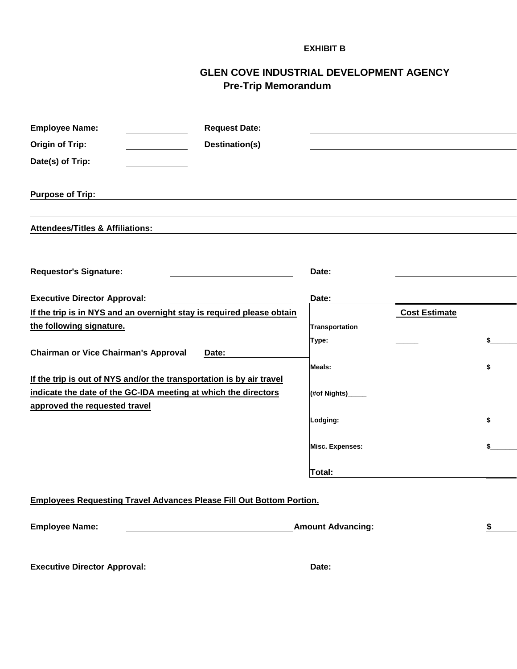**EXHIBIT B**

# **GLEN COVE INDUSTRIAL DEVELOPMENT AGENCY Pre-Trip Memorandum**

| <b>Employee Name:</b>                                                                                                                  | <b>Request Date:</b> |                          |                      |    |
|----------------------------------------------------------------------------------------------------------------------------------------|----------------------|--------------------------|----------------------|----|
| <b>Origin of Trip:</b>                                                                                                                 | Destination(s)       |                          |                      |    |
| Date(s) of Trip:                                                                                                                       |                      |                          |                      |    |
|                                                                                                                                        |                      |                          |                      |    |
| <b>Purpose of Trip:</b>                                                                                                                |                      |                          |                      |    |
|                                                                                                                                        |                      |                          |                      |    |
| <b>Attendees/Titles &amp; Affiliations:</b>                                                                                            |                      |                          |                      |    |
|                                                                                                                                        |                      |                          |                      |    |
| <b>Requestor's Signature:</b>                                                                                                          |                      | Date:                    |                      |    |
| <b>Executive Director Approval:</b>                                                                                                    |                      | Date:                    |                      |    |
| If the trip is in NYS and an overnight stay is required please obtain                                                                  |                      |                          | <b>Cost Estimate</b> |    |
| the following signature.                                                                                                               |                      | Transportation           |                      |    |
|                                                                                                                                        |                      | Type:                    |                      |    |
| <b>Chairman or Vice Chairman's Approval</b>                                                                                            | Date:                |                          |                      |    |
|                                                                                                                                        |                      | Meals:                   |                      |    |
| If the trip is out of NYS and/or the transportation is by air travel<br>indicate the date of the GC-IDA meeting at which the directors |                      |                          |                      |    |
| approved the requested travel                                                                                                          |                      | (#of Nights)_            |                      |    |
|                                                                                                                                        |                      | Lodging:                 |                      |    |
|                                                                                                                                        |                      |                          |                      |    |
|                                                                                                                                        |                      | <b>Misc. Expenses:</b>   |                      |    |
|                                                                                                                                        |                      | Total:                   |                      |    |
|                                                                                                                                        |                      |                          |                      |    |
| <b>Employees Requesting Travel Advances Please Fill Out Bottom Portion.</b>                                                            |                      |                          |                      |    |
| <b>Employee Name:</b>                                                                                                                  |                      | <b>Amount Advancing:</b> |                      | \$ |
|                                                                                                                                        |                      |                          |                      |    |
|                                                                                                                                        |                      |                          |                      |    |
| <b>Executive Director Approval:</b>                                                                                                    |                      | Date:                    |                      |    |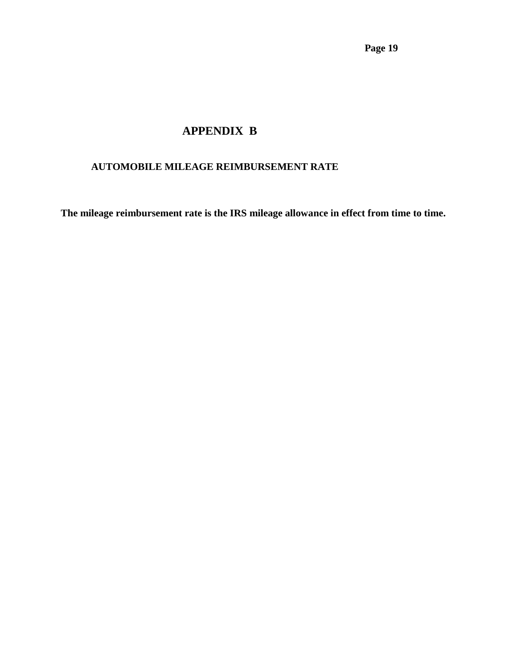**Page 19**

# **APPENDIX B**

## **AUTOMOBILE MILEAGE REIMBURSEMENT RATE**

**The mileage reimbursement rate is the IRS mileage allowance in effect from time to time.**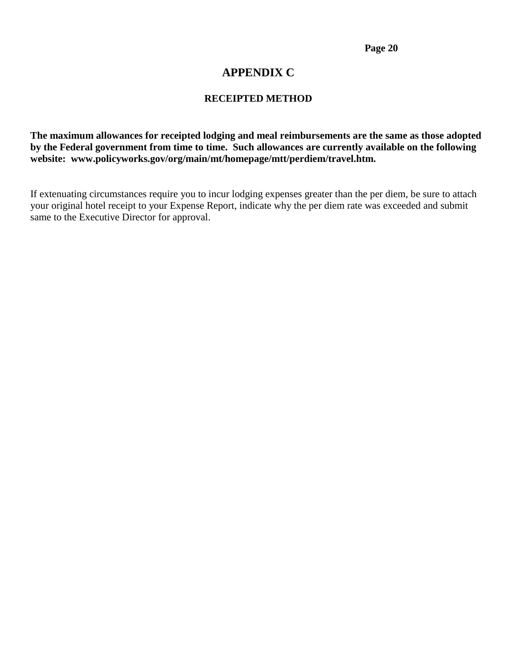# **APPENDIX C**

#### **RECEIPTED METHOD**

**The maximum allowances for receipted lodging and meal reimbursements are the same as those adopted by the Federal government from time to time. Such allowances are currently available on the following website: www.policyworks.gov/org/main/mt/homepage/mtt/perdiem/travel.htm.**

If extenuating circumstances require you to incur lodging expenses greater than the per diem, be sure to attach your original hotel receipt to your Expense Report, indicate why the per diem rate was exceeded and submit same to the Executive Director for approval.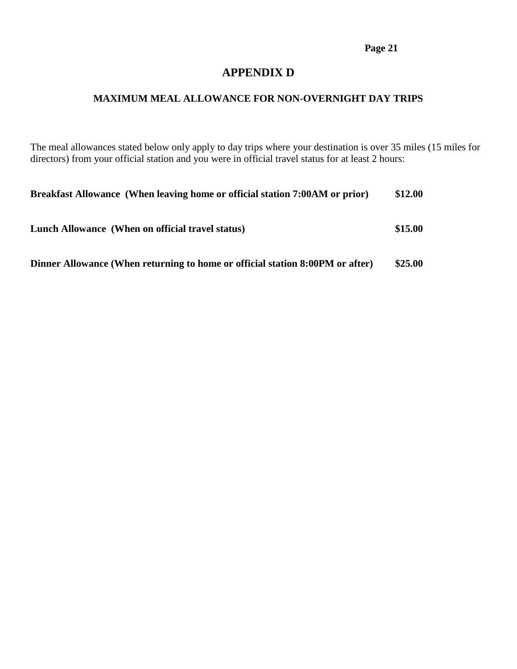## **Page 21**

## **APPENDIX D**

## **MAXIMUM MEAL ALLOWANCE FOR NON-OVERNIGHT DAY TRIPS**

The meal allowances stated below only apply to day trips where your destination is over 35 miles (15 miles for directors) from your official station and you were in official travel status for at least 2 hours:

| Breakfast Allowance (When leaving home or official station 7:00 AM or prior)  | \$12.00 |
|-------------------------------------------------------------------------------|---------|
| Lunch Allowance (When on official travel status)                              | \$15.00 |
| Dinner Allowance (When returning to home or official station 8:00PM or after) | \$25.00 |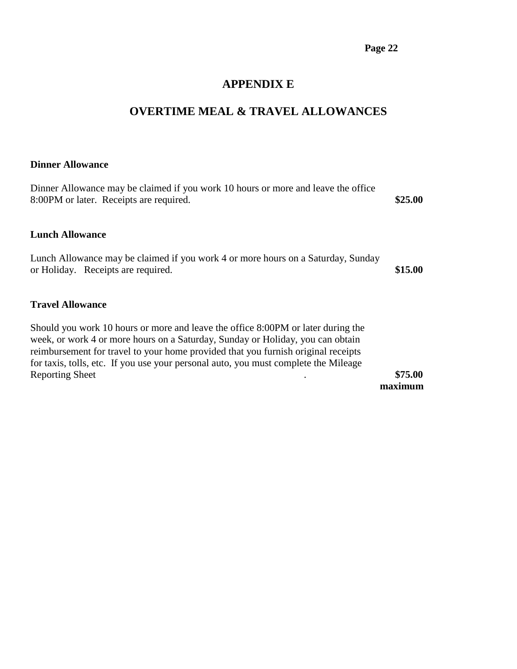# **APPENDIX E**

# **OVERTIME MEAL & TRAVEL ALLOWANCES**

### **Dinner Allowance**

| Dinner Allowance may be claimed if you work 10 hours or more and leave the office<br>8:00PM or later. Receipts are required. |         |  |  |  |
|------------------------------------------------------------------------------------------------------------------------------|---------|--|--|--|
| <b>Lunch Allowance</b>                                                                                                       |         |  |  |  |
| Lunch Allowance may be claimed if you work 4 or more hours on a Saturday, Sunday<br>or Holiday. Receipts are required.       | \$15.00 |  |  |  |

#### **Travel Allowance**

Should you work 10 hours or more and leave the office 8:00PM or later during the week, or work 4 or more hours on a Saturday, Sunday or Holiday, you can obtain reimbursement for travel to your home provided that you furnish original receipts for taxis, tolls, etc. If you use your personal auto, you must complete the Mileage Reporting Sheet **\$75.00** 

 **maximum**